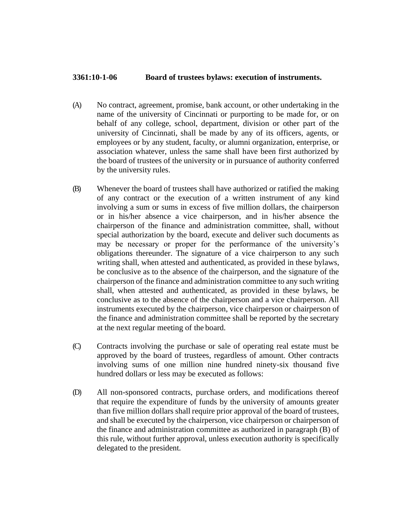## **3361:10-1-06 Board of trustees bylaws: execution of instruments.**

- (A) No contract, agreement, promise, bank account, or other undertaking in the name of the university of Cincinnati or purporting to be made for, or on behalf of any college, school, department, division or other part of the university of Cincinnati, shall be made by any of its officers, agents, or employees or by any student, faculty, or alumni organization, enterprise, or association whatever, unless the same shall have been first authorized by the board of trustees of the university or in pursuance of authority conferred by the university rules.
- (B) Whenever the board of trustees shall have authorized or ratified the making of any contract or the execution of a written instrument of any kind involving a sum or sums in excess of five million dollars, the chairperson or in his/her absence a vice chairperson, and in his/her absence the chairperson of the finance and administration committee, shall, without special authorization by the board, execute and deliver such documents as may be necessary or proper for the performance of the university's obligations thereunder. The signature of a vice chairperson to any such writing shall, when attested and authenticated, as provided in these bylaws, be conclusive as to the absence of the chairperson, and the signature of the chairperson of the finance and administration committee to any such writing shall, when attested and authenticated, as provided in these bylaws, be conclusive as to the absence of the chairperson and a vice chairperson. All instruments executed by the chairperson, vice chairperson or chairperson of the finance and administration committee shall be reported by the secretary at the next regular meeting of the board.
- (C) Contracts involving the purchase or sale of operating real estate must be approved by the board of trustees, regardless of amount. Other contracts involving sums of one million nine hundred ninety-six thousand five hundred dollars or less may be executed as follows:
- (D) All non-sponsored contracts, purchase orders, and modifications thereof that require the expenditure of funds by the university of amounts greater than five million dollars shall require prior approval of the board of trustees, and shall be executed by the chairperson, vice chairperson or chairperson of the finance and administration committee as authorized in paragraph (B) of this rule, without further approval, unless execution authority is specifically delegated to the president.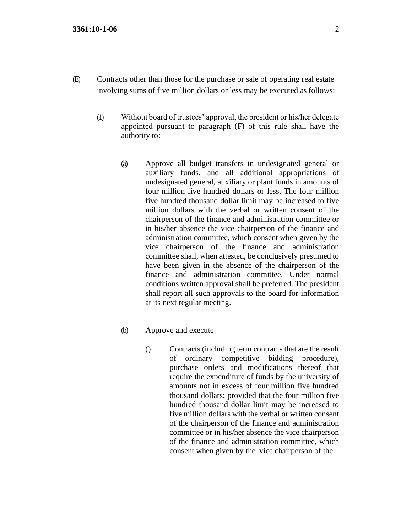- (E) Contracts other than those for the purchase or sale of operating real estate involving sums of five million dollars or less may be executed as follows:
	- (1) Without board of trustees' approval, the president or his/her delegate appointed pursuant to paragraph (F) of this rule shall have the authority to:
		- (a) Approve all budget transfers in undesignated general or auxiliary funds, and all additional appropriations of undesignated general, auxiliary or plant funds in amounts of four million five hundred dollars or less. The four million five hundred thousand dollar limit may be increased to five million dollars with the verbal or written consent of the chairperson of the finance and administration committee or in his/her absence the vice chairperson of the finance and administration committee, which consent when given by the vice chairperson of the finance and administration committee shall, when attested, be conclusively presumed to have been given in the absence of the chairperson of the finance and administration committee. Under normal conditions written approval shall be preferred. The president shall report all such approvals to the board for information at its next regular meeting.
		- (b) Approve and execute
			- (i) Contracts (including term contracts that are the result of ordinary competitive bidding procedure), purchase orders and modifications thereof that require the expenditure of funds by the university of amounts not in excess of four million five hundred thousand dollars; provided that the four million five hundred thousand dollar limit may be increased to five million dollars with the verbal or written consent of the chairperson of the finance and administration committee or in his/her absence the vice chairperson of the finance and administration committee, which consent when given by the vice chairperson of the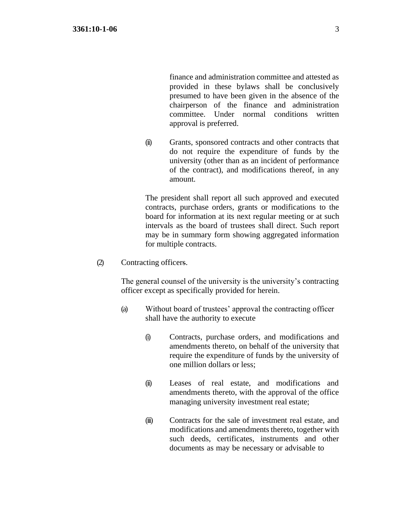finance and administration committee and attested as provided in these bylaws shall be conclusively presumed to have been given in the absence of the chairperson of the finance and administration committee. Under normal conditions written approval is preferred.

(ii) Grants, sponsored contracts and other contracts that do not require the expenditure of funds by the university (other than as an incident of performance of the contract), and modifications thereof, in any amount.

The president shall report all such approved and executed contracts, purchase orders, grants or modifications to the board for information at its next regular meeting or at such intervals as the board of trustees shall direct. Such report may be in summary form showing aggregated information for multiple contracts.

(2) Contracting officers.

The general counsel of the university is the university's contracting officer except as specifically provided for herein.

- (a) Without board of trustees' approval the contracting officer shall have the authority to execute
	- (i) Contracts, purchase orders, and modifications and amendments thereto, on behalf of the university that require the expenditure of funds by the university of one million dollars or less;
	- (ii) Leases of real estate, and modifications and amendments thereto, with the approval of the office managing university investment real estate;
	- (iii) Contracts for the sale of investment real estate, and modifications and amendments thereto, together with such deeds, certificates, instruments and other documents as may be necessary or advisable to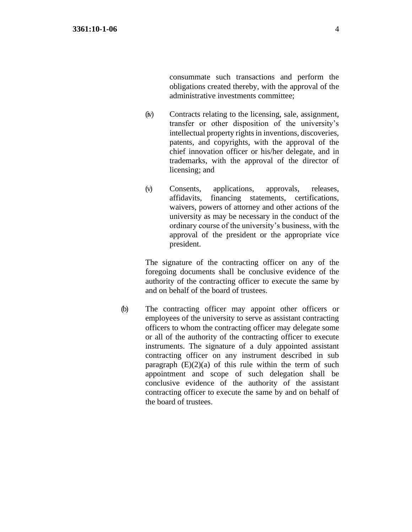consummate such transactions and perform the obligations created thereby, with the approval of the administrative investments committee;

- (iv) Contracts relating to the licensing, sale, assignment, transfer or other disposition of the university's intellectual property rights in inventions, discoveries, patents, and copyrights, with the approval of the chief innovation officer or his/her delegate, and in trademarks, with the approval of the director of licensing; and
- (v) Consents, applications, approvals, releases, affidavits, financing statements, certifications, waivers, powers of attorney and other actions of the university as may be necessary in the conduct of the ordinary course of the university's business, with the approval of the president or the appropriate vice president.

The signature of the contracting officer on any of the foregoing documents shall be conclusive evidence of the authority of the contracting officer to execute the same by and on behalf of the board of trustees.

(b) The contracting officer may appoint other officers or employees of the university to serve as assistant contracting officers to whom the contracting officer may delegate some or all of the authority of the contracting officer to execute instruments. The signature of a duly appointed assistant contracting officer on any instrument described in sub paragraph  $(E)(2)(a)$  of this rule within the term of such appointment and scope of such delegation shall be conclusive evidence of the authority of the assistant contracting officer to execute the same by and on behalf of the board of trustees.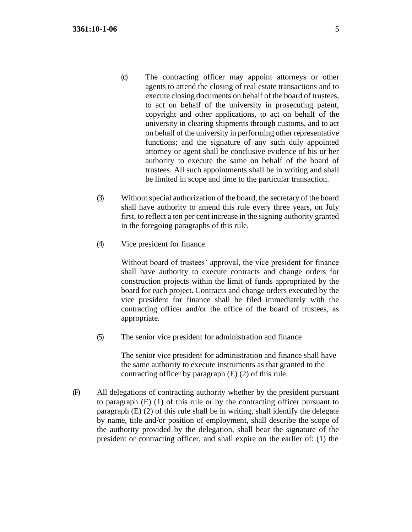- (c) The contracting officer may appoint attorneys or other agents to attend the closing of real estate transactions and to execute closing documents on behalf of the board of trustees, to act on behalf of the university in prosecuting patent, copyright and other applications, to act on behalf of the university in clearing shipments through customs, and to act on behalf of the university in performing other representative functions; and the signature of any such duly appointed attorney or agent shall be conclusive evidence of his or her authority to execute the same on behalf of the board of trustees. All such appointments shall be in writing and shall be limited in scope and time to the particular transaction.
- (3) Without special authorization of the board, the secretary of the board shall have authority to amend this rule every three years, on July first, to reflect a ten per cent increase in the signing authority granted in the foregoing paragraphs of this rule.
- (4) Vice president for finance.

Without board of trustees' approval, the vice president for finance shall have authority to execute contracts and change orders for construction projects within the limit of funds appropriated by the board for each project. Contracts and change orders executed by the vice president for finance shall be filed immediately with the contracting officer and/or the office of the board of trustees, as appropriate.

(5) The senior vice president for administration and finance

The senior vice president for administration and finance shall have the same authority to execute instruments as that granted to the contracting officer by paragraph (E) (2) of this rule.

(F) All delegations of contracting authority whether by the president pursuant to paragraph (E) (1) of this rule or by the contracting officer pursuant to paragraph (E) (2) of this rule shall be in writing, shall identify the delegate by name, title and/or position of employment, shall describe the scope of the authority provided by the delegation, shall bear the signature of the president or contracting officer, and shall expire on the earlier of: (1) the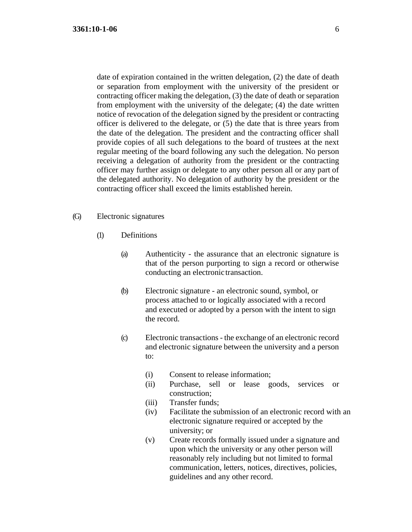date of expiration contained in the written delegation, (2) the date of death or separation from employment with the university of the president or contracting officer making the delegation, (3) the date of death or separation from employment with the university of the delegate; (4) the date written notice of revocation of the delegation signed by the president or contracting officer is delivered to the delegate, or (5) the date that is three years from the date of the delegation. The president and the contracting officer shall provide copies of all such delegations to the board of trustees at the next regular meeting of the board following any such the delegation. No person receiving a delegation of authority from the president or the contracting officer may further assign or delegate to any other person all or any part of the delegated authority. No delegation of authority by the president or the contracting officer shall exceed the limits established herein.

- (G) Electronic signatures
	- (1) Definitions
		- (a) Authenticity the assurance that an electronic signature is that of the person purporting to sign a record or otherwise conducting an electronic transaction.
		- (b) Electronic signature an electronic sound, symbol, or process attached to or logically associated with a record and executed or adopted by a person with the intent to sign the record.
		- (c) Electronic transactions the exchange of an electronic record and electronic signature between the university and a person to:
			- (i) Consent to release information;
			- (ii) Purchase, sell or lease goods, services or construction;
			- (iii) Transfer funds;
			- (iv) Facilitate the submission of an electronic record with an electronic signature required or accepted by the university; or
			- (v) Create records formally issued under a signature and upon which the university or any other person will reasonably rely including but not limited to formal communication, letters, notices, directives, policies, guidelines and any other record.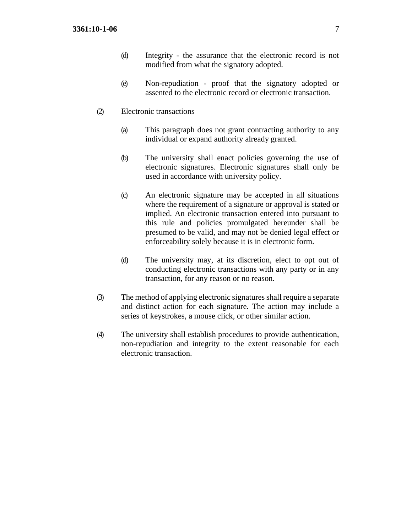- (d) Integrity the assurance that the electronic record is not modified from what the signatory adopted.
- (e) Non-repudiation proof that the signatory adopted or assented to the electronic record or electronic transaction.
- (2) Electronic transactions
	- (a) This paragraph does not grant contracting authority to any individual or expand authority already granted.
	- (b) The university shall enact policies governing the use of electronic signatures. Electronic signatures shall only be used in accordance with university policy.
	- (c) An electronic signature may be accepted in all situations where the requirement of a signature or approval is stated or implied. An electronic transaction entered into pursuant to this rule and policies promulgated hereunder shall be presumed to be valid, and may not be denied legal effect or enforceability solely because it is in electronic form.
	- (d) The university may, at its discretion, elect to opt out of conducting electronic transactions with any party or in any transaction, for any reason or no reason.
- (3) The method of applying electronic signatures shall require a separate and distinct action for each signature. The action may include a series of keystrokes, a mouse click, or other similar action.
- (4) The university shall establish procedures to provide authentication, non-repudiation and integrity to the extent reasonable for each electronic transaction.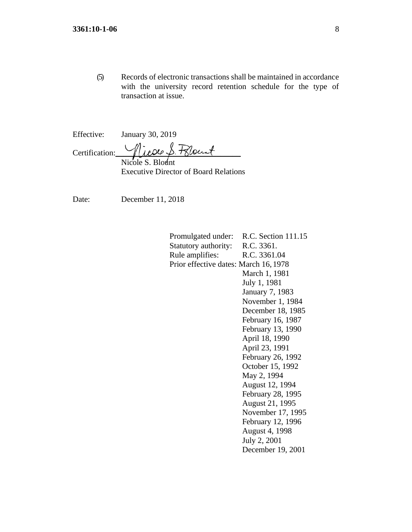(5) Records of electronic transactions shall be maintained in accordance with the university record retention schedule for the type of transaction at issue.

Effective: January 30, 2019

Certification: Vieue S. Peloust

Nicole S. Blount Executive Director of Board Relations

Date: December 11, 2018

Promulgated under: R.C. Section 111.15 Statutory authority: R.C. 3361. Rule amplifies: R.C. 3361.04 Prior effective dates: March 16, 1978 March 1, 1981 July 1, 1981 January 7, 1983 November 1, 1984 December 18, 1985 February 16, 1987 February 13, 1990 April 18, 1990 April 23, 1991 February 26, 1992 October 15, 1992 May 2, 1994 August 12, 1994 February 28, 1995 August 21, 1995 November 17, 1995 February 12, 1996 August 4, 1998 July 2, 2001

December 19, 2001